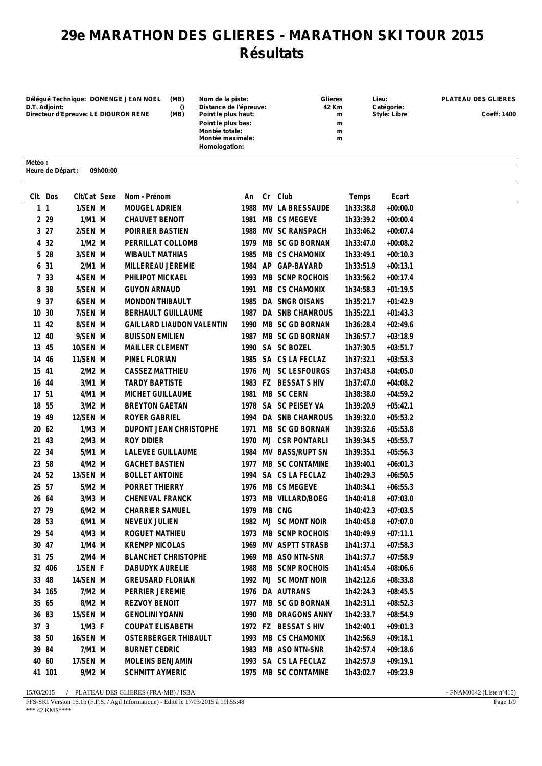## **29e MARATHON DES GLIERES - MARATHON SKI TOUR 2015 Résultats**

**Délégué Technique: DOMENGE JEAN NOEL (MB) Nom de la piste: Glieres Lieu: PLATEAU DES GLIERES D.T. Adjoint: () Distance de l'épreuve: 42 Km Catégorie: Directeur d'Epreuve: LE DIOURON RENE (MB) Point le plus haut: m Style: Libre Coeff: 1400**

| <b>Glieres</b> |
|----------------|
| 42 Km          |
| m              |
| m              |
| m              |
| m              |
|                |
|                |

| Gliere |   |
|--------|---|
| 42 Kn  |   |
|        | r |
|        | r |
|        | r |
|        | r |

**Météo : Heure de Départ : 09h00:00**

|       | CIt. Dos  | Clt/Cat Sexe | Nom - Prénom                     | An          | Cr Club              | Temps     | Ecart      |
|-------|-----------|--------------|----------------------------------|-------------|----------------------|-----------|------------|
|       | $1\quad1$ | 1/SEN M      | MOUGEL ADRIEN                    |             | 1988 MV LA BRESSAUDE | 1h33:38.8 | $+00:00.0$ |
|       | 2 2 9     | 1/M1 M       | CHAUVET BENOIT                   |             | 1981 MB CS MEGEVE    | 1h33:39.2 | $+00:00.4$ |
|       | 327       | 2/SEN M      | POIRRIER BASTIEN                 |             | 1988 MV SC RANSPACH  | 1h33:46.2 | $+00:07.4$ |
|       | 4 32      | $1/M2$ M     | PERRILLAT COLLOMB                |             | 1979 MB SC GD BORNAN | 1h33:47.0 | $+00:08.2$ |
|       | 5 28      | 3/SEN M      | <b>WIBAULT MATHIAS</b>           |             | 1985 MB CS CHAMONIX  | 1h33:49.1 | $+00:10.3$ |
|       | 6 31      | 2/M1 M       | MILLEREAU JEREMIE                |             | 1984 AP GAP-BAYARD   | 1h33:51.9 | $+00:13.1$ |
|       | 7 33      | 4/SEN M      | PHILIPOT MICKAEL                 |             | 1993 MB SCNP ROCHOIS | 1h33:56.2 | $+00:17.4$ |
|       | 8 38      | 5/SEN M      | <b>GUYON ARNAUD</b>              |             | 1991 MB CS CHAMONIX  | 1h34:58.3 | $+01:19.5$ |
|       | 9 37      | 6/SEN M      | MONDON THIBAULT                  |             | 1985 DA SNGR OISANS  | 1h35:21.7 | $+01:42.9$ |
| 10 30 |           | 7/SEN M      | BERHAULT GUILLAUME               |             | 1987 DA SNB CHAMROUS | 1h35:22.1 | $+01:43.3$ |
| 11 42 |           | 8/SEN M      | <b>GAILLARD LIAUDON VALENTIN</b> |             | 1990 MB SC GD BORNAN | 1h36:28.4 | $+02:49.6$ |
| 12 40 |           | 9/SEN M      | <b>BUISSON EMILIEN</b>           |             | 1987 MB SC GD BORNAN | 1h36:57.7 | $+03:18.9$ |
| 13 45 |           | 10/SEN M     | MAILLER CLEMENT                  |             | 1990 SA SC BOZEL     | 1h37:30.5 | $+03:51.7$ |
| 14 46 |           | 11/SEN M     | PINEL FLORIAN                    |             | 1985 SA CS LA FECLAZ | 1h37:32.1 | $+03:53.3$ |
| 15 41 |           | $2/M2$ M     | CASSEZ MATTHIEU                  |             | 1976 MJ SC LESFOURGS | 1h37:43.8 | $+04:05.0$ |
| 16 44 |           | 3/M1 M       | <b>TARDY BAPTISTE</b>            |             | 1983 FZ BESSAT S HIV | 1h37:47.0 | $+04:08.2$ |
| 17 51 |           | 4/M1 M       | MICHET GUILLAUME                 |             | 1981 MB SC CERN      | 1h38:38.0 | $+04:59.2$ |
| 18 55 |           | 3/M2 M       | <b>BREYTON GAETAN</b>            |             | 1978 SA SC PEISEY VA | 1h39:20.9 | $+05:42.1$ |
| 19 49 |           | 12/SEN M     | ROYER GABRIEL                    |             | 1994 DA SNB CHAMROUS | 1h39:32.0 | $+05:53.2$ |
| 20 62 |           | $1/M3$ M     | DUPONT JEAN CHRISTOPHE           |             | 1971 MB SC GD BORNAN | 1h39:32.6 | $+05:53.8$ |
| 21 43 |           | $2/M3$ M     | ROY DIDIER                       |             | 1970 MJ CSR PONTARLI | 1h39:34.5 | $+05:55.7$ |
| 22 34 |           | 5/M1 M       | LALEVEE GUILLAUME                |             | 1984 MV BASS/RUPT SN | 1h39:35.1 | $+05:56.3$ |
| 23 58 |           | 4/M2 M       | <b>GACHET BASTIEN</b>            |             | 1977 MB SC CONTAMINE | 1h39:40.1 | $+06:01.3$ |
| 24 52 |           | 13/SEN M     | <b>BOLLET ANTOINE</b>            |             | 1994 SA CS LA FECLAZ | 1h40:29.3 | $+06:50.5$ |
| 25 57 |           | 5/M2 M       | PORRET THIERRY                   |             | 1976 MB CS MEGEVE    | 1h40:34.1 | $+06:55.3$ |
| 26 64 |           | $3/M3$ M     | CHENEVAL FRANCK                  |             | 1973 MB VILLARD/BOEG | 1h40:41.8 | $+07:03.0$ |
| 27 79 |           | 6/M2 M       | <b>CHARRIER SAMUEL</b>           | 1979 MB CNG |                      | 1h40:42.3 | $+07:03.5$ |
| 28 53 |           | 6/M1 M       | NEVEUX JULIEN                    |             | 1982 MJ SC MONT NOIR | 1h40:45.8 | $+07:07.0$ |
| 29 54 |           | 4/M3 M       | ROGUET MATHIEU                   |             | 1973 MB SCNP ROCHOIS | 1h40:49.9 | $+07:11.1$ |
| 30 47 |           | 1/M4 M       | <b>KREMPP NICOLAS</b>            |             | 1969 MV ASPTT STRASB | 1h41:37.1 | $+07:58.3$ |
| 31 75 |           | 2/M4 M       | <b>BLANCHET CHRISTOPHE</b>       |             | 1969 MB ASO NTN-SNR  | 1h41:37.7 | $+07:58.9$ |
|       | 32 406    | 1/SEN F      | DABUDYK AURELIE                  |             | 1988 MB SCNP ROCHOIS | 1h41:45.4 | $+08:06.6$ |
| 33 48 |           | 14/SEN M     | <b>GREUSARD FLORIAN</b>          |             | 1992 MJ SC MONT NOIR | 1h42:12.6 | $+08:33.8$ |
|       | 34 165    | 7/M2 M       | <b>PERRIER JEREMIE</b>           |             | 1976 DA AUTRANS      | 1h42:24.3 | $+08:45.5$ |
| 35 65 |           | 8/M2 M       | REZVOY BENOIT                    |             | 1977 MB SC GD BORNAN | 1h42:31.1 | $+08:52.3$ |
| 36 83 |           | 15/SEN M     | <b>GENOLINI YOANN</b>            | 1990        | MB DRAGONS ANNY      | 1h42:33.7 | $+08:54.9$ |
| 37 3  |           | $1/M3$ F     | <b>COUPAT ELISABETH</b>          |             | 1972 FZ BESSAT S HIV | 1h42:40.1 | $+09:01.3$ |
| 38 50 |           | 16/SEN M     | OSTERBERGER THIBAULT             | 1993        | MB CS CHAMONIX       | 1h42:56.9 | $+09:18.1$ |
| 39 84 |           | 7/M1 M       | <b>BURNET CEDRIC</b>             | 1983        | MB ASO NTN-SNR       | 1h42:57.4 | $+09:18.6$ |
| 40 60 |           | 17/SEN M     | MOLEINS BENJAMIN                 |             | 1993 SA CS LA FECLAZ | 1h42:57.9 | $+09:19.1$ |
|       | 41 101    | 9/M2 M       | <b>SCHMITT AYMERIC</b>           |             | 1975 MB SC CONTAMINE | 1h43:02.7 | $+09:23.9$ |

15/03/2015 / PLATEAU DES GLIERES (FRA-MB) / ISBA - FNAM0342 (Liste n°415)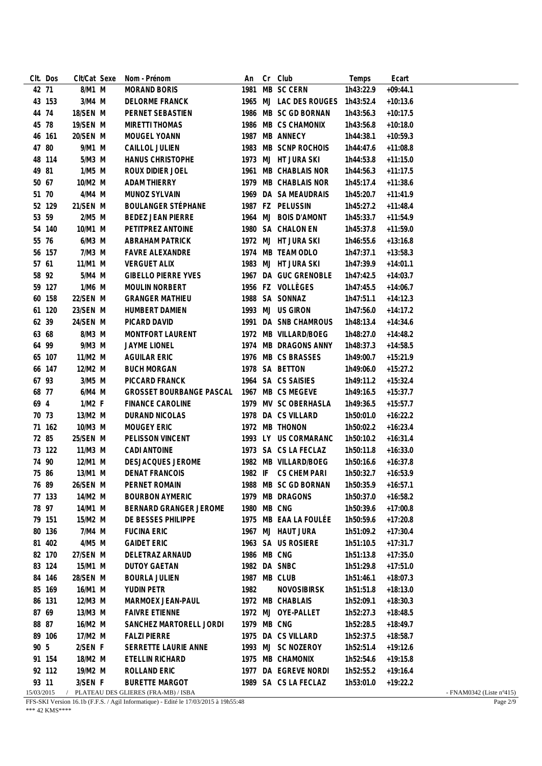|            | CIt. Dos | CIt/Cat Sexe | Nom - Prénom                        | An          | Cr Club                          | Temps              | Ecart      |                                    |
|------------|----------|--------------|-------------------------------------|-------------|----------------------------------|--------------------|------------|------------------------------------|
| 42 71      |          | 8/M1 M       | <b>MORAND BORIS</b>                 |             | 1981 MB SC CERN                  | 1h43:22.9          | $+09:44.1$ |                                    |
|            | 43 153   | $3/M4$ M     | DELORME FRANCK                      |             | 1965 MJ LAC DES ROUGES 1h43:52.4 |                    | $+10:13.6$ |                                    |
| 44 74      |          | 18/SEN M     | PERNET SEBASTIEN                    |             | 1986 MB SC GD BORNAN             | 1h43:56.3          | $+10:17.5$ |                                    |
| 45 78      |          | 19/SEN M     | <b>MIRETTI THOMAS</b>               |             | 1986 MB CS CHAMONIX              | 1h43:56.8          | $+10:18.0$ |                                    |
|            | 46 161   | 20/SEN M     | MOUGEL YOANN                        |             | 1987 MB ANNECY                   | 1h44:38.1          | $+10:59.3$ |                                    |
| 47 80      |          | 9/M1 M       | CAILLOL JULIEN                      |             | 1983 MB SCNP ROCHOIS             | 1h44:47.6          | $+11:08.8$ |                                    |
|            | 48 114   | 5/M3 M       | <b>HANUS CHRISTOPHE</b>             |             | 1973 MJ HT JURA SKI              | 1h44:53.8          | $+11:15.0$ |                                    |
| 49 81      |          | 1/M5 M       | ROUX DIDIER JOEL                    |             | 1961 MB CHABLAIS NOR             | 1h44:56.3          | $+11:17.5$ |                                    |
| 50 67      |          | 10/M2 M      | <b>ADAM THIERRY</b>                 |             | 1979 MB CHABLAIS NOR             | 1h45:17.4          | $+11:38.6$ |                                    |
| 51 70      |          | 4/M4 M       | MUNOZ SYLVAIN                       |             | 1969 DA SA MEAUDRAIS             | 1h45:20.7          | $+11:41.9$ |                                    |
|            | 52 129   | 21/SEN M     | <b>BOULANGER STÉPHANE</b>           |             | 1987 FZ PELUSSIN                 | 1h45:27.2          | $+11:48.4$ |                                    |
| 53 59      |          | 2/M5 M       | <b>BEDEZ JEAN PIERRE</b>            |             | 1964 MJ BOIS D'AMONT             | 1h45:33.7          | $+11:54.9$ |                                    |
|            | 54 140   | 10/M1 M      | PETITPREZ ANTOINE                   |             | 1980 SA CHALON EN                | 1h45:37.8          | $+11:59.0$ |                                    |
| 55 76      |          | 6/M3 M       | ABRAHAM PATRICK                     |             | 1972 MJ HT JURA SKI              | 1h46:55.6          | $+13:16.8$ |                                    |
|            | 56 157   | 7/M3 M       | <b>FAVRE ALEXANDRE</b>              |             | 1974 MB TEAM ODLO                | 1h47:37.1          | $+13:58.3$ |                                    |
| 57 61      |          | 11/M1 M      | <b>VERGUET ALIX</b>                 |             | 1983 MJ HT JURA SKI              | 1h47:39.9          | $+14:01.1$ |                                    |
| 58 92      |          | 5/M4 M       | <b>GIBELLO PIERRE YVES</b>          |             | 1967 DA GUC GRENOBLE             | 1h47:42.5          | $+14:03.7$ |                                    |
|            | 59 127   | 1/M6 M       | <b>MOULIN NORBERT</b>               |             | 1956 FZ VOLLÈGES                 | 1h47:45.5          | $+14:06.7$ |                                    |
|            | 60 158   | 22/SEN M     | <b>GRANGER MATHIEU</b>              |             | 1988 SA SONNAZ                   | 1h47:51.1          | $+14:12.3$ |                                    |
|            | 61 120   | 23/SEN M     | HUMBERT DAMIEN                      |             | 1993 MJ US GIRON                 | 1h47:56.0          | $+14:17.2$ |                                    |
| 62 39      |          | 24/SEN M     | PICARD DAVID                        |             | 1991 DA SNB CHAMROUS             | 1h48:13.4          | $+14:34.6$ |                                    |
| 63 68      |          | 8/M3 M       | MONTFORT LAURENT                    |             | 1972 MB VILLARD/BOEG             | 1h48:27.0          | $+14:48.2$ |                                    |
| 64 99      |          | 9/M3 M       | JAYME LIONEL                        |             | 1974 MB DRAGONS ANNY             | 1h48:37.3          | $+14:58.5$ |                                    |
|            | 65 107   | 11/M2 M      | <b>AGUILAR ERIC</b>                 |             | 1976 MB CS BRASSES               | 1h49:00.7          | $+15:21.9$ |                                    |
|            | 66 147   | 12/M2 M      | <b>BUCH MORGAN</b>                  |             | 1978 SA BETTON                   | 1h49:06.0          | $+15:27.2$ |                                    |
| 67 93      |          | 3/M5 M       | PICCARD FRANCK                      |             | 1964 SA CS SAISIES               | 1h49:11.2          | $+15:32.4$ |                                    |
| 68 77      |          | 6/M4 M       | <b>GROSSET BOURBANGE PASCAL</b>     |             | 1967 MB CS MEGEVE                | 1h49:16.5          | $+15:37.7$ |                                    |
| 69 4       |          | 1/M2 F       | <b>FINANCE CAROLINE</b>             |             | 1979 MV SC OBERHASLA             | 1h49:36.5          | $+15:57.7$ |                                    |
| 70 73      |          | 13/M2 M      | DURAND NICOLAS                      |             | 1978 DA CS VILLARD               | 1h50:01.0          | $+16:22.2$ |                                    |
|            | 71 162   | 10/M3 M      | MOUGEY ERIC                         |             | 1972 MB THONON                   | 1h50:02.2          | $+16:23.4$ |                                    |
| 72 85      |          | 25/SEN M     | PELISSON VINCENT                    |             | 1993 LY US CORMARANC             | 1h50:10.2          | $+16:31.4$ |                                    |
|            | 73 122   | 11/M3 M      | CADI ANTOINE                        |             | 1973 SA CS LA FECLAZ             | 1h50:11.8          | $+16:33.0$ |                                    |
| 74 90      |          | 12/M1 M      | DESJACQUES JEROME                   |             | 1982 MB VILLARD/BOEG             | 1h50:16.6          | $+16:37.8$ |                                    |
| 75 86      |          | 13/M1 M      | <b>DENAT FRANCOIS</b>               |             | 1982 IF CS CHEM PARI             | 1h50:32.7          | $+16:53.9$ |                                    |
| 76 89      |          | 26/SEN M     | PERNET ROMAIN                       |             | 1988 MB SC GD BORNAN             | 1h50:35.9 +16:57.1 |            |                                    |
|            | 77 133   | 14/M2 M      | <b>BOURBON AYMERIC</b>              |             | 1979 MB DRAGONS                  | 1h50:37.0          | $+16:58.2$ |                                    |
| 78 97      |          | 14/M1 M      | BERNARD GRANGER JEROME              | 1980 MB CNG |                                  | 1h50:39.6          | $+17:00.8$ |                                    |
|            | 79 151   | 15/M2 M      | DE BESSES PHILIPPE                  |             | 1975 MB EAA LA FOULÉE            | 1h50:59.6          | $+17:20.8$ |                                    |
|            | 80 136   | 7/M4 M       | <b>FUCINA ERIC</b>                  |             | 1967 MJ HAUT JURA                | 1h51:09.2          | $+17:30.4$ |                                    |
|            | 81 402   | 4/M5 M       | <b>GAIDET ERIC</b>                  |             | 1963 SA US ROSIERE               | 1h51:10.5          | $+17:31.7$ |                                    |
|            | 82 170   | 27/SEN M     | DELETRAZ ARNAUD                     | 1986 MB CNG |                                  | 1h51:13.8          | $+17:35.0$ |                                    |
|            | 83 124   | 15/M1 M      | <b>DUTOY GAETAN</b>                 |             | 1982 DA SNBC                     | 1h51:29.8          | $+17:51.0$ |                                    |
|            | 84 146   | 28/SEN M     | <b>BOURLA JULIEN</b>                |             | 1987 MB CLUB                     | 1h51:46.1          | $+18:07.3$ |                                    |
|            | 85 169   | 16/M1 M      | YUDIN PETR                          | 1982        | <b>NOVOSIBIRSK</b>               | 1h51:51.8          | $+18:13.0$ |                                    |
|            | 86 131   | 12/M3 M      | MARMOEX JEAN-PAUL                   |             | 1972 MB CHABLAIS                 | 1h52:09.1          | $+18:30.3$ |                                    |
| 87 69      |          | 13/M3 M      | <b>FAIVRE ETIENNE</b>               |             | 1972 MJ OYE-PALLET               | 1h52:27.3          | $+18:48.5$ |                                    |
| 88 87      |          | 16/M2 M      | SANCHEZ MARTORELL JORDI             | 1979 MB CNG |                                  | 1h52:28.5          | $+18:49.7$ |                                    |
|            | 89 106   | 17/M2 M      | <b>FALZI PIERRE</b>                 |             | 1975 DA CS VILLARD               | 1h52:37.5          | $+18:58.7$ |                                    |
| 90 5       |          | 2/SEN F      | SERRETTE LAURIE ANNE                |             | 1993 MJ SC NOZEROY               | 1h52:51.4          | $+19:12.6$ |                                    |
|            | 91 154   | 18/M2 M      | ETELLIN RICHARD                     |             | 1975 MB CHAMONIX                 | 1h52:54.6          | $+19:15.8$ |                                    |
|            | 92 112   | 19/M2 M      | ROLLAND ERIC                        |             | 1977 DA EGREVE NORDI             | 1h52:55.2          | $+19:16.4$ |                                    |
| 93 11      |          | 3/SEN F      | <b>BURETTE MARGOT</b>               |             | 1989 SA CS LA FECLAZ             | 1h53:01.0          | $+19:22.2$ |                                    |
| 15/03/2015 |          |              | PLATEAU DES GLIERES (FRA-MB) / ISBA |             |                                  |                    |            | - FNAM0342 (Liste $n^{\circ}415$ ) |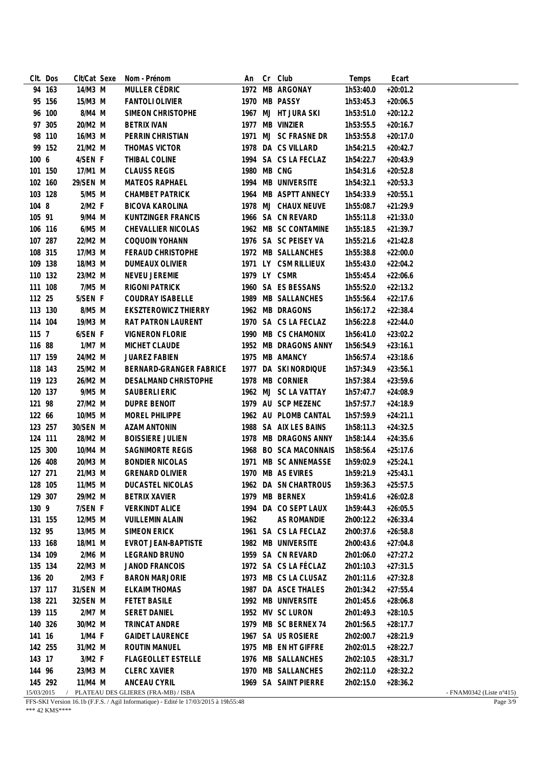|            | CIt. Dos | CIt/Cat Sexe | Nom - Prénom                        | An          | Cr | Club                                    | Temps     | Ecart      |                                    |
|------------|----------|--------------|-------------------------------------|-------------|----|-----------------------------------------|-----------|------------|------------------------------------|
|            | 94 163   | 14/M3 M      | MULLER CÉDRIC                       |             |    | 1972 MB ARGONAY                         | 1h53:40.0 | $+20:01.2$ |                                    |
|            | 95 156   | 15/M3 M      | <b>FANTOLI OLIVIER</b>              |             |    | 1970 MB PASSY                           | 1h53:45.3 | $+20:06.5$ |                                    |
|            | 96 100   | 8/M4 M       | SIMEON CHRISTOPHE                   |             |    | 1967 MJ HT JURA SKI                     | 1h53:51.0 | $+20:12.2$ |                                    |
|            | 97 305   | 20/M2 M      | <b>BETRIX IVAN</b>                  |             |    | 1977 MB VINZIER                         | 1h53:55.5 | $+20:16.7$ |                                    |
|            | 98 110   | 16/M3 M      | PERRIN CHRISTIAN                    |             |    | 1971 MJ SC FRASNE DR                    | 1h53:55.8 | $+20:17.0$ |                                    |
|            | 99 152   | 21/M2 M      | THOMAS VICTOR                       |             |    | 1978 DA CS VILLARD                      | 1h54:21.5 | $+20:42.7$ |                                    |
| 100 6      |          | 4/SEN F      | THIBAL COLINE                       |             |    | 1994 SA CS LA FECLAZ                    | 1h54:22.7 | $+20:43.9$ |                                    |
| 101 150    |          | 17/M1 M      | <b>CLAUSS REGIS</b>                 | 1980 MB CNG |    |                                         | 1h54:31.6 | $+20:52.8$ |                                    |
| 102 160    |          | 29/SEN M     | MATEOS RAPHAEL                      |             |    | 1994 MB UNIVERSITE                      | 1h54:32.1 | $+20:53.3$ |                                    |
| 103 128    |          | 5/M5 M       | <b>CHAMBET PATRICK</b>              |             |    | 1964 MB ASPTT ANNECY                    | 1h54:33.9 | $+20:55.1$ |                                    |
| 104 8      |          | $2/M2$ F     | BICOVA KAROLINA                     |             |    | 1978 MJ CHAUX NEUVE                     | 1h55:08.7 | $+21:29.9$ |                                    |
| 105 91     |          | 9/M4 M       | KUNTZINGER FRANCIS                  |             |    | 1966 SA CN REVARD                       | 1h55:11.8 | $+21:33.0$ |                                    |
| 106 116    |          | 6/M5 M       | CHEVALLIER NICOLAS                  |             |    | 1962 MB SC CONTAMINE                    | 1h55:18.5 | $+21:39.7$ |                                    |
| 107 287    |          | 22/M2 M      | COQUOIN YOHANN                      |             |    | 1976 SA SC PEISEY VA                    | 1h55:21.6 | $+21:42.8$ |                                    |
| 108 315    |          | 17/M3 M      | <b>FERAUD CHRISTOPHE</b>            |             |    | 1972 MB SALLANCHES                      | 1h55:38.8 | $+22:00.0$ |                                    |
| 109 138    |          | 18/M3 M      | <b>DUMEAUX OLIVIER</b>              |             |    | 1971 LY CSM RILLIEUX                    | 1h55:43.0 | $+22:04.2$ |                                    |
| 110 132    |          | 23/M2 M      | NEVEU JEREMIE                       |             |    | 1979 LY CSMR                            | 1h55:45.4 | $+22:06.6$ |                                    |
| 111 108    |          | 7/M5 M       | <b>RIGONI PATRICK</b>               |             |    | 1960 SA ES BESSANS                      | 1h55:52.0 | $+22:13.2$ |                                    |
| 112 25     |          | 5/SEN F      | <b>COUDRAY ISABELLE</b>             |             |    | 1989 MB SALLANCHES                      | 1h55:56.4 | $+22:17.6$ |                                    |
| 113 130    |          | 8/M5 M       | <b>EKSZTEROWICZ THIERRY</b>         |             |    | 1962 MB DRAGONS                         | 1h56:17.2 | $+22:38.4$ |                                    |
| 114 104    |          | 19/M3 M      | <b>RAT PATRON LAURENT</b>           |             |    | 1970 SA CS LA FECLAZ                    | 1h56:22.8 | $+22:44.0$ |                                    |
| 115 7      |          | 6/SEN F      | <b>VIGNERON FLORIE</b>              |             |    | 1990 MB CS CHAMONIX                     | 1h56:41.0 | $+23:02.2$ |                                    |
| 116 88     |          | 1/M7 M       | MICHET CLAUDE                       |             |    | 1952 MB DRAGONS ANNY                    | 1h56:54.9 | $+23:16.1$ |                                    |
| 117 159    |          | 24/M2 M      | <b>JUAREZ FABIEN</b>                |             |    | 1975 MB AMANCY                          | 1h56:57.4 | $+23:18.6$ |                                    |
| 118 143    |          | 25/M2 M      | BERNARD-GRANGER FABRICE             |             |    | 1977 DA SKI NORDIQUE                    | 1h57:34.9 | $+23:56.1$ |                                    |
| 119 123    |          | 26/M2 M      | DESALMAND CHRISTOPHE                |             |    | 1978 MB CORNIER                         | 1h57:38.4 | $+23:59.6$ |                                    |
| 120 137    |          | 9/M5 M       | SAUBERLI ERIC                       |             |    | 1962 MJ SC LA VATTAY                    | 1h57:47.7 | $+24:08.9$ |                                    |
| 121 98     |          | 27/M2 M      | DUPRE BENOIT                        |             |    | 1979 AU SCP MEZENC                      | 1h57:57.7 | $+24:18.9$ |                                    |
| 122 66     |          | 10/M5 M      | MOREL PHILIPPE                      |             |    | 1962 AU PLOMB CANTAL                    | 1h57:59.9 | $+24:21.1$ |                                    |
| 123 257    |          | 30/SEN M     | AZAM ANTONIN                        |             |    | 1988 SA AIX LES BAINS                   | 1h58:11.3 | $+24:32.5$ |                                    |
| 124 111    |          | 28/M2 M      | <b>BOISSIERE JULIEN</b>             |             |    | 1978 MB DRAGONS ANNY                    | 1h58:14.4 | $+24:35.6$ |                                    |
| 125 300    |          | 10/M4 M      | SAGNIMORTE REGIS                    |             |    | 1968 BO SCA MACONNAIS                   | 1h58:56.4 | $+25:17.6$ |                                    |
| 126 408    |          | 20/M3 M      | <b>BONDIER NICOLAS</b>              |             |    | 1971 MB SC ANNEMASSE                    | 1h59:02.9 | $+25:24.1$ |                                    |
| 127 271    |          | 21/M3 M      | <b>GRENARD OLIVIER</b>              |             |    | 1970 MB AS EVIRES                       | 1h59:21.9 | $+25:43.1$ |                                    |
| 128 105    |          | 11/M5 M      | DUCASTEL NICOLAS                    |             |    | 1962 DA SN CHARTROUS 1h59:36.3 +25:57.5 |           |            |                                    |
| 129 307    |          | 29/M2 M      | <b>BETRIX XAVIER</b>                |             |    | 1979 MB BERNEX                          | 1h59:41.6 | $+26:02.8$ |                                    |
| 130 9      |          | 7/SEN F      | <b>VERKINDT ALICE</b>               |             |    | 1994 DA CO SEPT LAUX                    | 1h59:44.3 | $+26:05.5$ |                                    |
| 131 155    |          | 12/M5 M      | <b>VUILLEMIN ALAIN</b>              | 1962        |    | AS ROMANDIE                             | 2h00:12.2 | $+26:33.4$ |                                    |
| 132 95     |          | 13/M5 M      | <b>SIMEON ERICK</b>                 |             |    | 1961 SA CS LA FECLAZ                    | 2h00:37.6 | $+26:58.8$ |                                    |
| 133 168    |          | 18/M1 M      | EVROT JEAN-BAPTISTE                 |             |    | 1982 MB UNIVERSITE                      | 2h00:43.6 | $+27:04.8$ |                                    |
| 134 109    |          | 2/M6 M       | LEGRAND BRUNO                       |             |    | 1959 SA CN REVARD                       | 2h01:06.0 | $+27:27.2$ |                                    |
| 135 134    |          | 22/M3 M      | JANOD FRANCOIS                      |             |    | 1972 SA CS LA FÉCLAZ                    | 2h01:10.3 | $+27:31.5$ |                                    |
| 136 20     |          | $2/M3$ F     | <b>BARON MARJORIE</b>               |             |    | 1973 MB CS LA CLUSAZ                    | 2h01:11.6 | $+27:32.8$ |                                    |
| 137 117    |          | 31/SEN M     | <b>ELKAIM THOMAS</b>                |             |    | 1987 DA ASCE THALES                     | 2h01:34.2 | $+27:55.4$ |                                    |
| 138 221    |          | 32/SEN M     | <b>FETET BASILE</b>                 |             |    | 1992 MB UNIVERSITE                      | 2h01:45.6 | $+28:06.8$ |                                    |
| 139 115    |          | 2/M7 M       | <b>SERET DANIEL</b>                 |             |    | 1952 MV SC LURON                        | 2h01:49.3 | $+28:10.5$ |                                    |
| 140 326    |          | 30/M2 M      | TRINCAT ANDRE                       |             |    | 1979 MB SC BERNEX 74                    | 2h01:56.5 | $+28:17.7$ |                                    |
| 141 16     |          | $1/M4$ F     | <b>GAIDET LAURENCE</b>              |             |    | 1967 SA US ROSIERE                      | 2h02:00.7 | $+28:21.9$ |                                    |
| 142 255    |          | 31/M2 M      | ROUTIN MANUEL                       |             |    | 1975 MB EN HT GIFFRE                    | 2h02:01.5 | $+28:22.7$ |                                    |
| 143 17     |          | 3/M2 F       | <b>FLAGEOLLET ESTELLE</b>           |             |    | 1976 MB SALLANCHES                      | 2h02:10.5 | $+28:31.7$ |                                    |
| 144 96     |          | 23/M3 M      | <b>CLERC XAVIER</b>                 |             |    | 1970 MB SALLANCHES                      | 2h02:11.0 | $+28:32.2$ |                                    |
| 145 292    |          | 11/M4 M      | ANCEAU CYRIL                        |             |    | 1969 SA SAINT PIERRE                    | 2h02:15.0 | $+28:36.2$ |                                    |
| 15/03/2015 |          |              | PLATEAU DES GLIERES (FRA-MB) / ISBA |             |    |                                         |           |            | - FNAM0342 (Liste $n^{\circ}415$ ) |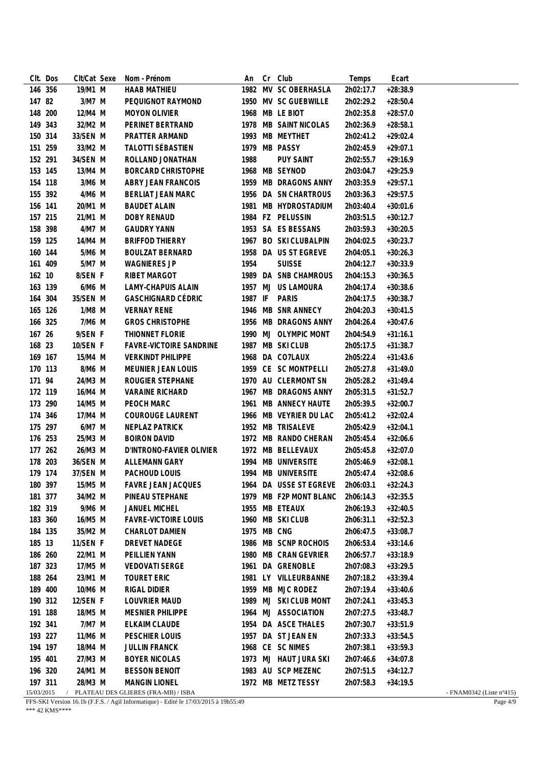|            | CIt. Dos | CIt/Cat Sexe | Nom - Prénom                        | An          | Cr | Club                             | Temps     | Ecart      |                                    |
|------------|----------|--------------|-------------------------------------|-------------|----|----------------------------------|-----------|------------|------------------------------------|
|            | 146 356  | 19/M1 M      | HAAB MATHIEU                        |             |    | 1982 MV SC OBERHASLA             | 2h02:17.7 | $+28:38.9$ |                                    |
| 147 82     |          | 3/M7 M       | PEQUIGNOT RAYMOND                   |             |    | 1950 MV SC GUEBWILLE             | 2h02:29.2 | $+28:50.4$ |                                    |
| 148 200    |          | 12/M4 M      | <b>MOYON OLIVIER</b>                |             |    | 1968 MB LE BIOT                  | 2h02:35.8 | $+28:57.0$ |                                    |
| 149 343    |          | 32/M2 M      | PERINET BERTRAND                    |             |    | 1978 MB SAINT NICOLAS            | 2h02:36.9 | $+28:58.1$ |                                    |
| 150 314    |          | 33/SEN M     | PRATTER ARMAND                      |             |    | 1993 MB MEYTHET                  | 2h02:41.2 | $+29:02.4$ |                                    |
| 151 259    |          | 33/M2 M      | TALOTTI SÉBASTIEN                   |             |    | 1979 MB PASSY                    | 2h02:45.9 | $+29:07.1$ |                                    |
| 152 291    |          | 34/SEN M     | ROLLAND JONATHAN                    | 1988        |    | <b>PUY SAINT</b>                 | 2h02:55.7 | $+29:16.9$ |                                    |
| 153 145    |          | 13/M4 M      | <b>BORCARD CHRISTOPHE</b>           |             |    | 1968 MB SEYNOD                   | 2h03:04.7 | $+29:25.9$ |                                    |
| 154 118    |          | 3/M6 M       | <b>ABRY JEAN FRANCOIS</b>           |             |    | 1959 MB DRAGONS ANNY             | 2h03:35.9 | $+29:57.1$ |                                    |
|            | 155 392  | 4/M6 M       | BERLIAT JEAN MARC                   |             |    | 1956 DA SN CHARTROUS             | 2h03:36.3 | $+29:57.5$ |                                    |
| 156 141    |          | 20/M1 M      | <b>BAUDET ALAIN</b>                 |             |    | 1981 MB HYDROSTADIUM             | 2h03:40.4 | $+30:01.6$ |                                    |
| 157 215    |          | 21/M1 M      | DOBY RENAUD                         |             |    | 1984 FZ PELUSSIN                 | 2h03:51.5 | $+30:12.7$ |                                    |
| 158 398    |          | 4/M7 M       | <b>GAUDRY YANN</b>                  |             |    | 1953 SA ES BESSANS               | 2h03:59.3 | $+30:20.5$ |                                    |
| 159 125    |          | 14/M4 M      | <b>BRIFFOD THIERRY</b>              |             |    | 1967 BO SKI CLUBALPIN            | 2h04:02.5 | $+30:23.7$ |                                    |
| 160 144    |          | 5/M6 M       | <b>BOULZAT BERNARD</b>              |             |    | 1958 DA US ST EGREVE             | 2h04:05.1 | $+30:26.3$ |                                    |
| 161 409    |          | 5/M7 M       | <b>WAGNIERES JP</b>                 | 1954        |    | <b>SUISSE</b>                    | 2h04:12.7 | $+30:33.9$ |                                    |
| 162 10     |          | 8/SEN F      | RIBET MARGOT                        |             |    | 1989 DA SNB CHAMROUS             | 2h04:15.3 | $+30:36.5$ |                                    |
| 163 139    |          | 6/M6 M       | <b>LAMY-CHAPUIS ALAIN</b>           |             |    | 1957 MJ US LAMOURA               | 2h04:17.4 | $+30:38.6$ |                                    |
| 164 304    |          | 35/SEN M     | <b>GASCHIGNARD CÉDRIC</b>           | 1987 IF     |    | PARIS                            | 2h04:17.5 | $+30:38.7$ |                                    |
| 165 126    |          | $1/M8$ M     | <b>VERNAY RENE</b>                  |             |    | 1946 MB SNR ANNECY               | 2h04:20.3 | $+30:41.5$ |                                    |
| 166 325    |          | 7/M6 M       | <b>GROS CHRISTOPHE</b>              |             |    | 1956 MB DRAGONS ANNY             | 2h04:26.4 | $+30:47.6$ |                                    |
| 167 26     |          | 9/SEN F      | THIONNET FLORIE                     |             |    | 1990 MJ OLYMPIC MONT             | 2h04:54.9 | $+31:16.1$ |                                    |
| 168 23     |          | 10/SEN F     | <b>FAVRE-VICTOIRE SANDRINE</b>      |             |    | 1987 MB SKI CLUB                 | 2h05:17.5 | $+31:38.7$ |                                    |
| 169 167    |          | 15/M4 M      | <b>VERKINDT PHILIPPE</b>            |             |    | 1968 DA CO7LAUX                  | 2h05:22.4 | $+31:43.6$ |                                    |
| 170 113    |          | 8/M6 M       | MEUNIER JEAN LOUIS                  |             |    | 1959 CE SC MONTPELLI             | 2h05:27.8 | $+31:49.0$ |                                    |
| 171 94     |          | 24/M3 M      | ROUGIER STEPHANE                    |             |    | 1970 AU CLERMONT SN              | 2h05:28.2 | $+31:49.4$ |                                    |
| 172 119    |          | 16/M4 M      | <b>VARAINE RICHARD</b>              |             |    | 1967 MB DRAGONS ANNY             | 2h05:31.5 | $+31:52.7$ |                                    |
| 173 290    |          | 14/M5 M      | PEOCH MARC                          |             |    | 1961 MB ANNECY HAUTE             | 2h05:39.5 | $+32:00.7$ |                                    |
| 174 346    |          | 17/M4 M      | <b>COUROUGE LAURENT</b>             |             |    | 1966 MB VEYRIER DU LAC           | 2h05:41.2 | $+32:02.4$ |                                    |
|            | 175 297  | 6/M7 M       | NEPLAZ PATRICK                      |             |    | 1952 MB TRISALEVE                | 2h05:42.9 | $+32:04.1$ |                                    |
| 176 253    |          | 25/M3 M      | <b>BOIRON DAVID</b>                 |             |    | 1972 MB RANDO CHERAN             | 2h05:45.4 | $+32:06.6$ |                                    |
|            | 177 262  | 26/M3 M      | D'INTRONO-FAVIER OLIVIER            |             |    | 1972 MB BELLEVAUX                | 2h05:45.8 | $+32:07.0$ |                                    |
| 178 203    |          | 36/SEN M     | ALLEMANN GARY                       |             |    | 1994 MB UNIVERSITE               | 2h05:46.9 | $+32:08.1$ |                                    |
| 179 174    |          | 37/SEN M     | PACHOUD LOUIS                       |             |    | 1994 MB UNIVERSITE               | 2h05:47.4 | $+32:08.6$ |                                    |
| 180 397    |          | 15/M5 M      | FAVRE JEAN JACQUES                  |             |    | 1964 DA USSE ST EGREVE 2h06:03.1 |           | $+32:24.3$ |                                    |
| 181 377    |          | 34/M2 M      | PINEAU STEPHANE                     |             |    | 1979 MB F2P MONT BLANC           | 2h06:14.3 | $+32:35.5$ |                                    |
| 182 319    |          | 9/M6 M       | <b>JANUEL MICHEL</b>                |             |    | 1955 MB ETEAUX                   | 2h06:19.3 | $+32:40.5$ |                                    |
| 183 360    |          | 16/M5 M      | <b>FAVRE-VICTOIRE LOUIS</b>         |             |    | 1960 MB SKI CLUB                 | 2h06:31.1 | $+32:52.3$ |                                    |
| 184 135    |          | 35/M2 M      | CHARLOT DAMIEN                      | 1975 MB CNG |    |                                  | 2h06:47.5 | $+33:08.7$ |                                    |
| 185 13     |          | 11/SEN F     | DREVET NADEGE                       |             |    | 1986 MB SCNP ROCHOIS             | 2h06:53.4 | $+33:14.6$ |                                    |
| 186 260    |          | 22/M1 M      | PEILLIEN YANN                       |             |    | 1980 MB CRAN GEVRIER             | 2h06:57.7 | $+33:18.9$ |                                    |
| 187 323    |          | 17/M5 M      | <b>VEDOVATI SERGE</b>               |             |    | 1961 DA GRENOBLE                 | 2h07:08.3 | $+33:29.5$ |                                    |
| 188 264    |          | 23/M1 M      | <b>TOURET ERIC</b>                  |             |    | 1981 LY VILLEURBANNE             | 2h07:18.2 | $+33:39.4$ |                                    |
| 189 400    |          | 10/M6 M      | RIGAL DIDIER                        |             |    | 1959 MB MJC RODEZ                | 2h07:19.4 | $+33:40.6$ |                                    |
|            | 190 312  | 12/SEN F     | LOUVRIER MAUD                       |             |    | 1989 MJ SKI CLUB MONT            | 2h07:24.1 | $+33:45.3$ |                                    |
| 191 188    |          | 18/M5 M      | <b>MESNIER PHILIPPE</b>             |             |    | 1964 MJ ASSOCIATION              | 2h07:27.5 | $+33:48.7$ |                                    |
| 192 341    |          | 7/M7 M       | ELKAIM CLAUDE                       |             |    | 1954 DA ASCE THALES              | 2h07:30.7 | $+33:51.9$ |                                    |
| 193 227    |          | 11/M6 M      | PESCHIER LOUIS                      |             |    | 1957 DA ST JEAN EN               | 2h07:33.3 | $+33:54.5$ |                                    |
| 194 197    |          | 18/M4 M      | <b>JULLIN FRANCK</b>                |             |    | 1968 CE SC NIMES                 | 2h07:38.1 | $+33:59.3$ |                                    |
| 195 401    |          | 27/M3 M      | <b>BOYER NICOLAS</b>                |             |    | 1973 MJ HAUT JURA SKI            | 2h07:46.6 | $+34:07.8$ |                                    |
| 196 320    |          | 24/M1 M      | <b>BESSON BENOIT</b>                |             |    | 1983 AU SCP MEZENC               | 2h07:51.5 | $+34:12.7$ |                                    |
| 197 311    |          | 28/M3 M      | <b>MANGIN LIONEL</b>                |             |    | 1972 MB METZ TESSY               | 2h07:58.3 | $+34:19.5$ |                                    |
| 15/03/2015 |          |              | PLATEAU DES GLIERES (FRA-MB) / ISBA |             |    |                                  |           |            | - FNAM0342 (Liste $n^{\circ}415$ ) |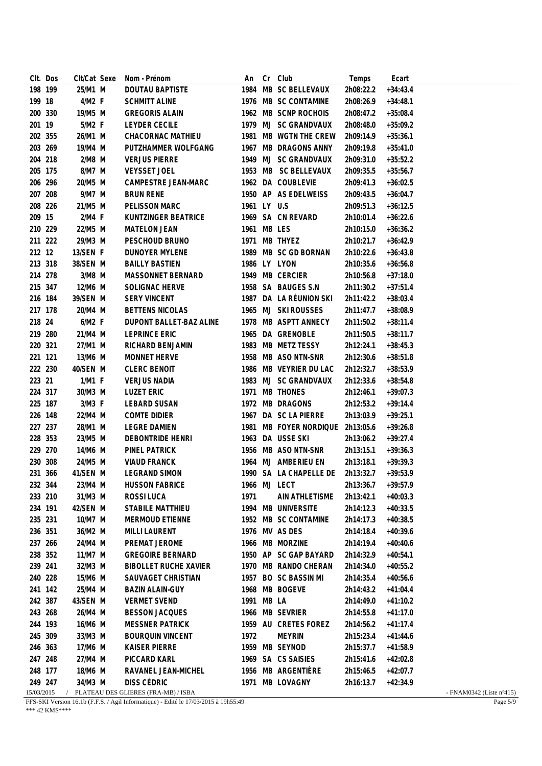|        | CIt. Dos              | CIt/Cat Sexe | Nom - Prénom                                       | An           | Cr | Club                   | Temps     | Ecart      |                                    |
|--------|-----------------------|--------------|----------------------------------------------------|--------------|----|------------------------|-----------|------------|------------------------------------|
|        | 198 199               | 25/M1 M      | DOUTAU BAPTISTE                                    |              |    | 1984 MB SC BELLEVAUX   | 2h08:22.2 | $+34:43.4$ |                                    |
|        | 199 18                | 4/M2 F       | <b>SCHMITT ALINE</b>                               |              |    | 1976 MB SC CONTAMINE   | 2h08:26.9 | $+34:48.1$ |                                    |
|        | 200 330               | 19/M5 M      | <b>GREGORIS ALAIN</b>                              |              |    | 1962 MB SCNP ROCHOIS   | 2h08:47.2 | $+35:08.4$ |                                    |
| 201 19 |                       | 5/M2 F       | <b>LEYDER CECILE</b>                               |              |    | 1979 MJ SC GRANDVAUX   | 2h08:48.0 | $+35:09.2$ |                                    |
|        | 202 355               | 26/M1 M      | CHACORNAC MATHIEU                                  |              |    | 1981 MB WGTN THE CREW  | 2h09:14.9 | $+35:36.1$ |                                    |
|        | 203 269               | 19/M4 M      | PUTZHAMMER WOLFGANG                                |              |    | 1967 MB DRAGONS ANNY   | 2h09:19.8 | $+35:41.0$ |                                    |
|        | 204 218               | $2/M8$ M     | <b>VERJUS PIERRE</b>                               |              |    | 1949 MJ SC GRANDVAUX   | 2h09:31.0 | $+35:52.2$ |                                    |
|        | 205 175               | 8/M7 M       | VEYSSET JOEL                                       |              |    | 1953 MB SC BELLEVAUX   | 2h09:35.5 | $+35:56.7$ |                                    |
|        | 206 296               | 20/M5 M      | CAMPESTRE JEAN-MARC                                |              |    | 1962 DA COUBLEVIE      | 2h09:41.3 | $+36:02.5$ |                                    |
|        | 207 208               | 9/M7 M       | <b>BRUN RENE</b>                                   |              |    | 1950 AP AS EDELWEISS   | 2h09:43.5 | $+36:04.7$ |                                    |
|        | 208 226               | 21/M5 M      | PELISSON MARC                                      | 1961 LY U.S  |    |                        | 2h09:51.3 | $+36:12.5$ |                                    |
| 209 15 |                       | 2/M4 F       | KUNTZINGER BEATRICE                                |              |    | 1969 SA CN REVARD      | 2h10:01.4 | $+36:22.6$ |                                    |
|        | 210 229               | 22/M5 M      | <b>MATELON JEAN</b>                                | 1961 MB LES  |    |                        | 2h10:15.0 | $+36:36.2$ |                                    |
|        | 211 222               | 29/M3 M      | PESCHOUD BRUNO                                     |              |    | 1971 MB THYEZ          | 2h10:21.7 | $+36:42.9$ |                                    |
|        | 212 12                | 13/SEN F     | DUNOYER MYLENE                                     |              |    | 1989 MB SC GD BORNAN   | 2h10:22.6 | $+36:43.8$ |                                    |
|        | 213 318               | 38/SEN M     | <b>BAILLY BASTIEN</b>                              |              |    | 1986 LY LYON           | 2h10:35.6 | $+36:56.8$ |                                    |
|        | 214 278               | 3/M8 M       | MASSONNET BERNARD                                  |              |    | 1949 MB CERCIER        | 2h10:56.8 | $+37:18.0$ |                                    |
|        | 215 347               | 12/M6 M      | SOLIGNAC HERVE                                     |              |    | 1958 SA BAUGES S.N     | 2h11:30.2 | $+37:51.4$ |                                    |
|        | 216 184               | 39/SEN M     | <b>SERY VINCENT</b>                                |              |    | 1987 DA LA RÉUNION SKI | 2h11:42.2 | $+38:03.4$ |                                    |
|        | 217 178               | 20/M4 M      | <b>BETTENS NICOLAS</b>                             |              |    | 1965 MJ SKI ROUSSES    | 2h11:47.7 | $+38:08.9$ |                                    |
| 218 24 |                       | $6/M2$ F     | DUPONT BALLET-BAZ ALINE                            |              |    | 1978 MB ASPTT ANNECY   | 2h11:50.2 | $+38:11.4$ |                                    |
|        | 219 280               | 21/M4 M      | <b>LEPRINCE ERIC</b>                               |              |    | 1965 DA GRENOBLE       | 2h11:50.5 | $+38:11.7$ |                                    |
|        | 220 321               | 27/M1 M      | RICHARD BENJAMIN                                   |              |    | 1983 MB METZ TESSY     | 2h12:24.1 | $+38:45.3$ |                                    |
|        | 221 121               | 13/M6 M      | MONNET HERVE                                       |              |    | 1958 MB ASO NTN-SNR    | 2h12:30.6 | $+38:51.8$ |                                    |
|        | 222 230               | 40/SEN M     | <b>CLERC BENOIT</b>                                |              |    | 1986 MB VEYRIER DU LAC | 2h12:32.7 | $+38:53.9$ |                                    |
| 223 21 |                       | $1/M1$ F     | <b>VERJUS NADIA</b>                                |              |    | 1983 MJ SC GRANDVAUX   | 2h12:33.6 | $+38:54.8$ |                                    |
|        | 224 317               | 30/M3 M      | <b>LUZET ERIC</b>                                  |              |    | 1971 MB THONES         | 2h12:46.1 | $+39:07.3$ |                                    |
|        | 225 187               | 3/M3 F       | LEBARD SUSAN                                       |              |    | 1972 MB DRAGONS        | 2h12:53.2 | $+39:14.4$ |                                    |
|        | 226 148               | 22/M4 M      | <b>COMTE DIDIER</b>                                |              |    | 1967 DA SC LA PIERRE   | 2h13:03.9 | $+39:25.1$ |                                    |
|        | 227 237               | 28/M1 M      | <b>LEGRE DAMIEN</b>                                |              |    | 1981 MB FOYER NORDIQUE | 2h13:05.6 | $+39:26.8$ |                                    |
|        | 228 353               | 23/M5 M      | DEBONTRIDE HENRI                                   |              |    | 1963 DA USSE SKI       | 2h13:06.2 | $+39:27.4$ |                                    |
|        | 229 270               | 14/M6 M      | PINEL PATRICK                                      |              |    | 1956 MB ASO NTN-SNR    | 2h13:15.1 | $+39:36.3$ |                                    |
|        | 230 308               | 24/M5 M      | <b>VIAUD FRANCK</b>                                |              |    | 1964 MJ AMBERIEU EN    | 2h13:18.1 | $+39:39.3$ |                                    |
|        | 231 366               | 41/SEN M     | <b>LEGRAND SIMON</b>                               |              |    | 1990 SA LA CHAPELLE DE | 2h13:32.7 | $+39:53.9$ |                                    |
|        | 232 344               | 23/M4 M      | <b>HUSSON FABRICE</b>                              | 1966 MJ LECT |    |                        | 2h13:36.7 | $+39:57.9$ |                                    |
|        | 233 210               | 31/M3 M      | ROSSI LUCA                                         | 1971         |    | AIN ATHLETISME         | 2h13:42.1 | $+40:03.3$ |                                    |
|        | 234 191               | 42/SEN M     | STABILE MATTHIEU                                   |              |    | 1994 MB UNIVERSITE     | 2h14:12.3 | $+40:33.5$ |                                    |
|        | 235 231               | 10/M7 M      | MERMOUD ETIENNE                                    |              |    | 1952 MB SC CONTAMINE   | 2h14:17.3 | $+40:38.5$ |                                    |
|        | 236 351               | 36/M2 M      | <b>MILLI LAURENT</b>                               |              |    | 1976 MV AS DES         | 2h14:18.4 | $+40:39.6$ |                                    |
|        | 237 266               | 24/M4 M      | PREMAT JEROME                                      |              |    | 1966 MB MORZINE        | 2h14:19.4 | $+40:40.6$ |                                    |
|        | 238 352               | 11/M7 M      | <b>GREGOIRE BERNARD</b>                            |              |    | 1950 AP SC GAP BAYARD  | 2h14:32.9 | $+40:54.1$ |                                    |
|        | 239 241               | 32/M3 M      | <b>BIBOLLET RUCHE XAVIER</b>                       |              |    | 1970 MB RANDO CHERAN   | 2h14:34.0 | $+40:55.2$ |                                    |
|        | 240 228               | 15/M6 M      | SAUVAGET CHRISTIAN                                 |              |    | 1957 BO SC BASSIN MI   | 2h14:35.4 | $+40:56.6$ |                                    |
|        | 241 142               | 25/M4 M      | <b>BAZIN ALAIN-GUY</b>                             |              |    | 1968 MB BOGEVE         | 2h14:43.2 | $+41:04.4$ |                                    |
|        | 242 387               | 43/SEN M     | <b>VERMET SVEND</b>                                | 1991 MB LA   |    |                        | 2h14:49.0 | $+41:10.2$ |                                    |
|        | 243 268               | 26/M4 M      | <b>BESSON JACQUES</b>                              |              |    | 1966 MB SEVRIER        | 2h14:55.8 | $+41:17.0$ |                                    |
|        |                       |              |                                                    |              |    |                        |           |            |                                    |
|        | 244 193               | 16/M6 M      | <b>MESSNER PATRICK</b>                             |              |    | 1959 AU CRETES FOREZ   | 2h14:56.2 | $+41:17.4$ |                                    |
|        | 245 309               | 33/M3 M      | <b>BOURQUIN VINCENT</b>                            | 1972         |    | <b>MEYRIN</b>          | 2h15:23.4 | $+41:44.6$ |                                    |
|        | 246 363               | 17/M6 M      | <b>KAISER PIERRE</b>                               |              |    | 1959 MB SEYNOD         | 2h15:37.7 | $+41:58.9$ |                                    |
|        | 247 248               | 27/M4 M      | PICCARD KARL                                       |              |    | 1969 SA CS SAISIES     | 2h15:41.6 | $+42:02.8$ |                                    |
|        | 248 177               | 18/M6 M      | RAVANEL JEAN-MICHEL                                |              |    | 1956 MB ARGENTIÈRE     | 2h15:46.5 | $+42:07.7$ |                                    |
|        | 249 247<br>15/03/2015 | 34/M3 M      | DISS CÉDRIC<br>PLATEAU DES GLIERES (FRA-MB) / ISBA |              |    | 1971 MB LOVAGNY        | 2h16:13.7 | $+42:34.9$ | - FNAM0342 (Liste $n^{\circ}415$ ) |
|        |                       |              |                                                    |              |    |                        |           |            |                                    |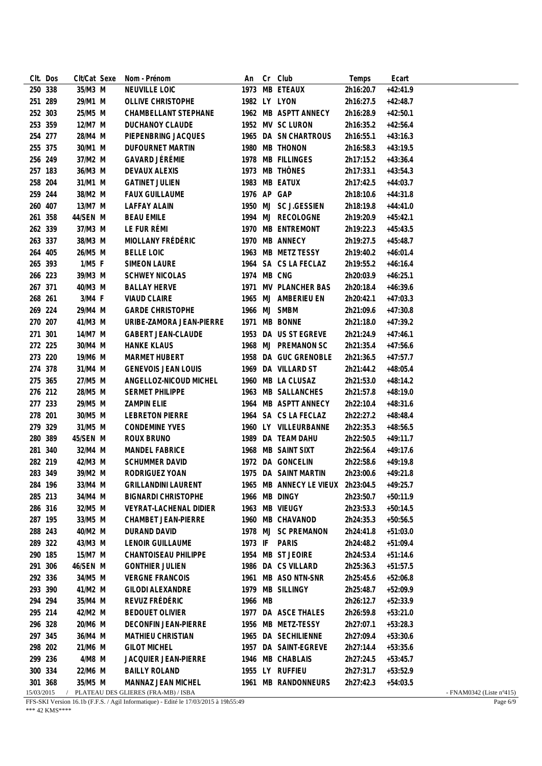| CIt. Dos   | CIt/Cat Sexe | Nom - Prénom                        | An          | Cr | Club                                       | Temps     | Ecart      |                                    |
|------------|--------------|-------------------------------------|-------------|----|--------------------------------------------|-----------|------------|------------------------------------|
| 250 338    | 35/M3 M      | NEUVILLE LOIC                       |             |    | 1973 MB ETEAUX                             | 2h16:20.7 | $+42:41.9$ |                                    |
| 251 289    | 29/M1 M      | OLLIVE CHRISTOPHE                   |             |    | 1982 LY LYON                               | 2h16:27.5 | $+42:48.7$ |                                    |
| 252 303    | 25/M5 M      | CHAMBELLANT STEPHANE                |             |    | 1962 MB ASPTT ANNECY                       | 2h16:28.9 | $+42:50.1$ |                                    |
| 253 359    | 12/M7 M      | <b>DUCHANOY CLAUDE</b>              |             |    | 1952 MV SC LURON                           | 2h16:35.2 | $+42:56.4$ |                                    |
| 254 277    | 28/M4 M      | PIEPENBRING JACQUES                 |             |    | 1965 DA SN CHARTROUS                       | 2h16:55.1 | $+43:16.3$ |                                    |
| 255 375    | 30/M1 M      | <b>DUFOURNET MARTIN</b>             |             |    | 1980 MB THONON                             | 2h16:58.3 | $+43:19.5$ |                                    |
| 256 249    | 37/M2 M      | GAVARD JÉRÉMIE                      |             |    | 1978 MB FILLINGES                          | 2h17:15.2 | $+43:36.4$ |                                    |
| 257 183    | 36/M3 M      | DEVAUX ALEXIS                       |             |    | 1973 MB THÔNES                             | 2h17:33.1 | $+43:54.3$ |                                    |
| 258 204    | 31/M1 M      | <b>GATINET JULIEN</b>               |             |    | 1983 MB EATUX                              | 2h17:42.5 | $+44:03.7$ |                                    |
| 259 244    | 38/M2 M      | <b>FAUX GUILLAUME</b>               | 1976 AP GAP |    |                                            | 2h18:10.6 | $+44:31.8$ |                                    |
| 260 407    | 13/M7 M      | <b>LAFFAY ALAIN</b>                 |             |    | 1950 MJ SC J.GESSIEN                       | 2h18:19.8 | $+44:41.0$ |                                    |
| 261 358    | 44/SEN M     | <b>BEAU EMILE</b>                   |             |    | 1994 MJ RECOLOGNE                          | 2h19:20.9 | $+45:42.1$ |                                    |
| 262 339    | 37/M3 M      | LE FUR RÉMI                         |             |    | 1970 MB ENTREMONT                          | 2h19:22.3 | $+45:43.5$ |                                    |
| 263 337    | 38/M3 M      | MIOLLANY FRÉDÉRIC                   |             |    | 1970 MB ANNECY                             | 2h19:27.5 | $+45:48.7$ |                                    |
| 264 405    | 26/M5 M      | <b>BELLE LOIC</b>                   |             |    | 1963 MB METZ TESSY                         | 2h19:40.2 | $+46:01.4$ |                                    |
| 265 393    | $1/M5$ F     | <b>SIMEON LAURE</b>                 |             |    | 1964 SA CS LA FECLAZ                       | 2h19:55.2 | $+46:16.4$ |                                    |
| 266 223    | 39/M3 M      | <b>SCHWEY NICOLAS</b>               | 1974 MB CNG |    |                                            | 2h20:03.9 | $+46:25.1$ |                                    |
| 267 371    | 40/M3 M      | <b>BALLAY HERVE</b>                 |             |    | 1971 MV PLANCHER BAS                       | 2h20:18.4 | $+46:39.6$ |                                    |
| 268 261    | 3/M4 F       | <b>VIAUD CLAIRE</b>                 |             |    | 1965 MJ AMBERIEU EN                        | 2h20:42.1 | $+47:03.3$ |                                    |
| 269 224    | 29/M4 M      | <b>GARDE CHRISTOPHE</b>             |             |    | 1966 MJ SMBM                               | 2h21:09.6 | $+47:30.8$ |                                    |
| 270 207    | 41/M3 M      | URIBE-ZAMORA JEAN-PIERRE            |             |    | 1971 MB BONNE                              | 2h21:18.0 | $+47:39.2$ |                                    |
|            |              |                                     |             |    |                                            |           |            |                                    |
| 271 301    | 14/M7 M      | <b>GABERT JEAN-CLAUDE</b>           |             |    | 1953 DA US ST EGREVE                       | 2h21:24.9 | $+47:46.1$ |                                    |
| 272 225    | 30/M4 M      | <b>HANKE KLAUS</b>                  |             |    | 1968 MJ PREMANON SC                        | 2h21:35.4 | $+47:56.6$ |                                    |
| 273 220    | 19/M6 M      | MARMET HUBERT                       |             |    | 1958 DA GUC GRENOBLE                       | 2h21:36.5 | $+47:57.7$ |                                    |
| 274 378    | 31/M4 M      | <b>GENEVOIS JEAN LOUIS</b>          |             |    | 1969 DA VILLARD ST                         | 2h21:44.2 | $+48:05.4$ |                                    |
| 275 365    | 27/M5 M      | ANGELLOZ-NICOUD MICHEL              |             |    | 1960 MB LA CLUSAZ                          | 2h21:53.0 | $+48:14.2$ |                                    |
| 276 212    | 28/M5 M      | SERMET PHILIPPE                     |             |    | 1963 MB SALLANCHES                         | 2h21:57.8 | $+48:19.0$ |                                    |
| 277 233    | 29/M5 M      | <b>ZAMPIN ELIE</b>                  |             |    | 1964 MB ASPTT ANNECY                       | 2h22:10.4 | $+48:31.6$ |                                    |
| 278 201    | 30/M5 M      | <b>LEBRETON PIERRE</b>              |             |    | 1964 SA CS LA FECLAZ                       | 2h22:27.2 | $+48:48.4$ |                                    |
| 279 329    | 31/M5 M      | <b>CONDEMINE YVES</b>               |             |    | 1960 LY VILLEURBANNE                       | 2h22:35.3 | $+48:56.5$ |                                    |
| 280 389    | 45/SEN M     | ROUX BRUNO                          |             |    | 1989 DA TEAM DAHU                          | 2h22:50.5 | $+49:11.7$ |                                    |
| 281 340    | 32/M4 M      | MANDEL FABRICE                      |             |    | 1968 MB SAINT SIXT                         | 2h22:56.4 | $+49:17.6$ |                                    |
| 282 219    | 42/M3 M      | <b>SCHUMMER DAVID</b>               |             |    | 1972 DA GONCELIN                           | 2h22:58.6 | $+49:19.8$ |                                    |
| 283 349    | 39/M2 M      | RODRIGUEZ YOAN                      |             |    | 1975 DA SAINT MARTIN                       | 2h23:00.6 | $+49:21.8$ |                                    |
| 284 196    | 33/M4 M      | <b>GRILLANDINI LAURENT</b>          |             |    | 1965 MB ANNECY LE VIEUX 2h23:04.5 +49:25.7 |           |            |                                    |
| 285 213    | 34/M4 M      | <b>BIGNARDI CHRISTOPHE</b>          |             |    | 1966 MB DINGY                              | 2h23:50.7 | $+50:11.9$ |                                    |
| 286 316    | 32/M5 M      | VEYRAT-LACHENAL DIDIER              |             |    | 1963 MB VIEUGY                             | 2h23:53.3 | $+50:14.5$ |                                    |
| 287 195    | 33/M5 M      | CHAMBET JEAN-PIERRE                 |             |    | 1960 MB CHAVANOD                           | 2h24:35.3 | $+50:56.5$ |                                    |
| 288 243    | 40/M2 M      | DURAND DAVID                        |             |    | 1978 MJ SC PREMANON                        | 2h24:41.8 | $+51:03.0$ |                                    |
| 289 322    | 43/M3 M      | <b>LENOIR GUILLAUME</b>             |             |    | 1973 IF PARIS                              | 2h24:48.2 | $+51:09.4$ |                                    |
| 290 185    | 15/M7 M      | <b>CHANTOISEAU PHILIPPE</b>         |             |    | 1954 MB ST JEOIRE                          | 2h24:53.4 | $+51:14.6$ |                                    |
| 291 306    | 46/SEN M     | <b>GONTHIER JULIEN</b>              |             |    | 1986 DA CS VILLARD                         | 2h25:36.3 | $+51:57.5$ |                                    |
| 292 336    | 34/M5 M      | <b>VERGNE FRANCOIS</b>              |             |    | 1961 MB ASO NTN-SNR                        | 2h25:45.6 | $+52:06.8$ |                                    |
| 293 390    | 41/M2 M      | <b>GILODI ALEXANDRE</b>             |             |    | 1979 MB SILLINGY                           | 2h25:48.7 | $+52:09.9$ |                                    |
| 294 294    | 35/M4 M      | REVUZ FRÉDÉRIC                      | 1966 MB     |    |                                            | 2h26:12.7 | $+52:33.9$ |                                    |
| 295 214    | 42/M2 M      | <b>BEDOUET OLIVIER</b>              |             |    | 1977 DA ASCE THALES                        | 2h26:59.8 | $+53:21.0$ |                                    |
| 296 328    | 20/M6 M      | DECONFIN JEAN-PIERRE                |             |    | 1956 MB METZ-TESSY                         | 2h27:07.1 | $+53:28.3$ |                                    |
| 297 345    | 36/M4 M      | MATHIEU CHRISTIAN                   |             |    | 1965 DA SECHILIENNE                        | 2h27:09.4 | $+53:30.6$ |                                    |
| 298 202    | 21/M6 M      | <b>GILOT MICHEL</b>                 |             |    | 1957 DA SAINT-EGREVE                       | 2h27:14.4 | $+53:35.6$ |                                    |
| 299 236    | 4/M8 M       | JACQUIER JEAN-PIERRE                |             |    | 1946 MB CHABLAIS                           | 2h27:24.5 | $+53:45.7$ |                                    |
| 300 334    | 22/M6 M      | <b>BAILLY ROLAND</b>                |             |    | 1955 LY RUFFIEU                            | 2h27:31.7 | $+53:52.9$ |                                    |
| 301 368    | 35/M5 M      | MANNAZ JEAN MICHEL                  |             |    | 1961 MB RANDONNEURS                        | 2h27:42.3 | $+54:03.5$ |                                    |
| 15/03/2015 |              | PLATEAU DES GLIERES (FRA-MB) / ISBA |             |    |                                            |           |            | - FNAM0342 (Liste $n^{\circ}415$ ) |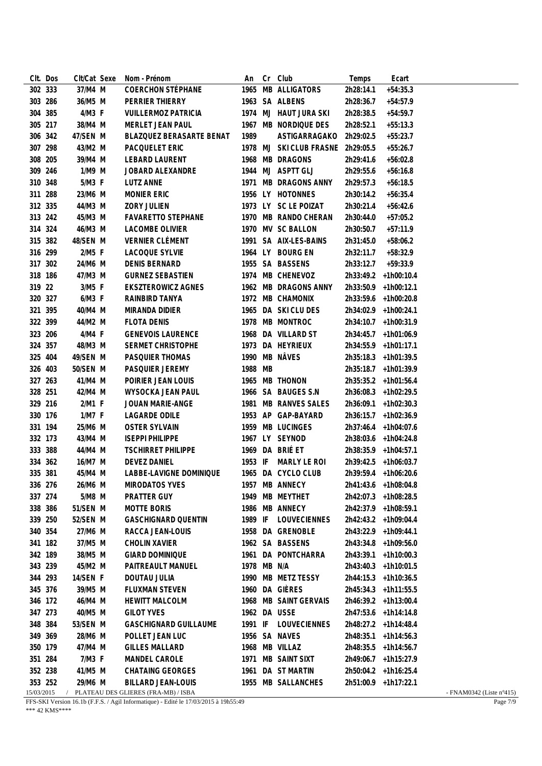|            | CIt. Dos | CIt/Cat Sexe | Nom - Prénom                        | An          | Cr | Club                    | Temps     | Ecart                |                                    |
|------------|----------|--------------|-------------------------------------|-------------|----|-------------------------|-----------|----------------------|------------------------------------|
| 302 333    |          | 37/M4 M      | COERCHON STÉPHANE                   |             |    | 1965 MB ALLIGATORS      | 2h28:14.1 | $+54:35.3$           |                                    |
| 303 286    |          | 36/M5 M      | PERRIER THIERRY                     |             |    | 1963 SA ALBENS          | 2h28:36.7 | $+54:57.9$           |                                    |
| 304 385    |          | 4/M3 F       | <b>VUILLERMOZ PATRICIA</b>          |             |    | 1974 MJ HAUT JURA SKI   | 2h28:38.5 | $+54:59.7$           |                                    |
| 305 217    |          | 38/M4 M      | <b>MERLET JEAN PAUL</b>             |             |    | 1967 MB NORDIQUE DES    | 2h28:52.1 | $+55:13.3$           |                                    |
| 306 342    |          | 47/SEN M     | BLAZQUEZ BERASARTE BENAT            | 1989        |    | ASTIGARRAGAKO           | 2h29:02.5 | $+55:23.7$           |                                    |
| 307 298    |          | 43/M2 M      | PACQUELET ERIC                      |             |    | 1978 MJ SKI CLUB FRASNE | 2h29:05.5 | $+55:26.7$           |                                    |
| 308 205    |          | 39/M4 M      | LEBARD LAURENT                      |             |    | 1968 MB DRAGONS         | 2h29:41.6 | $+56:02.8$           |                                    |
| 309 246    |          | 1/M9 M       | JOBARD ALEXANDRE                    |             |    | 1944 MJ ASPTT GLJ       | 2h29:55.6 | $+56:16.8$           |                                    |
| 310 348    |          | 5/M3 F       | LUTZ ANNE                           |             |    | 1971 MB DRAGONS ANNY    | 2h29:57.3 | $+56:18.5$           |                                    |
| 311 288    |          | 23/M6 M      | <b>MONIER ERIC</b>                  |             |    | 1956 LY HOTONNES        | 2h30:14.2 | $+56:35.4$           |                                    |
| 312 335    |          | 44/M3 M      | ZORY JULIEN                         |             |    | 1973 LY SC LE POIZAT    | 2h30:21.4 | $+56:42.6$           |                                    |
| 313 242    |          | 45/M3 M      | <b>FAVARETTO STEPHANE</b>           |             |    | 1970 MB RANDO CHERAN    | 2h30:44.0 | $+57:05.2$           |                                    |
| 314 324    |          | 46/M3 M      | <b>LACOMBE OLIVIER</b>              |             |    | 1970 MV SC BALLON       | 2h30:50.7 | $+57:11.9$           |                                    |
| 315 382    |          | 48/SEN M     | VERNIER CLÉMENT                     |             |    | 1991 SA AIX-LES-BAINS   | 2h31:45.0 | $+58:06.2$           |                                    |
| 316 299    |          | 2/M5 F       | LACOQUE SYLVIE                      |             |    | 1964 LY BOURG EN        | 2h32:11.7 | $+58:32.9$           |                                    |
| 317 302    |          | 24/M6 M      | <b>DENIS BERNARD</b>                |             |    | 1955 SA BASSENS         | 2h33:12.7 | $+59:33.9$           |                                    |
| 318 186    |          | 47/M3 M      | <b>GURNEZ SEBASTIEN</b>             |             |    | 1974 MB CHENEVOZ        |           | 2h33:49.2 +1h00:10.4 |                                    |
| 319 22     |          | 3/M5 F       | <b>EKSZTEROWICZ AGNES</b>           |             |    | 1962 MB DRAGONS ANNY    |           | 2h33:50.9 +1h00:12.1 |                                    |
| 320 327    |          | $6/M3$ F     | RAINBIRD TANYA                      |             |    | 1972 MB CHAMONIX        |           | 2h33:59.6 +1h00:20.8 |                                    |
| 321 395    |          | 40/M4 M      | MIRANDA DIDIER                      |             |    | 1965 DA SKI CLU DES     |           | 2h34:02.9 +1h00:24.1 |                                    |
| 322 399    |          | 44/M2 M      | <b>FLOTA DENIS</b>                  |             |    | 1978 MB MONTROC         |           | 2h34:10.7 +1h00:31.9 |                                    |
| 323 206    |          | 4/M4 F       | <b>GENEVOIS LAURENCE</b>            |             |    | 1968 DA VILLARD ST      |           | 2h34:45.7 +1h01:06.9 |                                    |
| 324 357    |          | 48/M3 M      | SERMET CHRISTOPHE                   |             |    | 1973 DA HEYRIEUX        |           | 2h34:55.9 +1h01:17.1 |                                    |
| 325 404    |          | 49/SEN M     | PASQUIER THOMAS                     |             |    | 1990 MB NÂVES           |           | 2h35:18.3 +1h01:39.5 |                                    |
| 326 403    |          | 50/SEN M     | PASQUIER JEREMY                     | 1988 MB     |    |                         |           | 2h35:18.7 +1h01:39.9 |                                    |
| 327 263    |          | 41/M4 M      | POIRIER JEAN LOUIS                  |             |    | 1965 MB THONON          |           | 2h35:35.2 +1h01:56.4 |                                    |
| 328 251    |          | 42/M4 M      | WYSOCKA JEAN PAUL                   |             |    | 1966 SA BAUGES S.N      |           | 2h36:08.3 +1h02:29.5 |                                    |
| 329 216    |          | 2/M1 F       | JOUAN MARIE-ANGE                    |             |    | 1981 MB RANVES SALES    |           | 2h36:09.1 +1h02:30.3 |                                    |
| 330 176    |          | 1/M7 F       | <b>LAGARDE ODILE</b>                |             |    | 1953 AP GAP-BAYARD      |           | 2h36:15.7 +1h02:36.9 |                                    |
| 331 194    |          | 25/M6 M      | <b>OSTER SYLVAIN</b>                |             |    | 1959 MB LUCINGES        |           | 2h37:46.4 +1h04:07.6 |                                    |
| 332 173    |          | 43/M4 M      | <b>ISEPPI PHILIPPE</b>              |             |    | 1967 LY SEYNOD          |           | 2h38:03.6 +1h04:24.8 |                                    |
| 333 388    |          | 44/M4 M      | <b>TSCHIRRET PHILIPPE</b>           |             |    | 1969 DA BRIÉ ET         |           | 2h38:35.9 +1h04:57.1 |                                    |
| 334 362    |          | 16/M7 M      | <b>DEVEZ DANIEL</b>                 |             |    | 1953 IF MARLY LE ROI    |           | 2h39:42.5 +1h06:03.7 |                                    |
| 335 381    |          | 45/M4 M      | LABBE-LAVIGNE DOMINIQUE             |             |    | 1965 DA CYCLO CLUB      |           | 2h39:59.4 +1h06:20.6 |                                    |
| 336 276    |          | 26/M6 M      | MIRODATOS YVES                      |             |    | 1957 MB ANNECY          |           | 2h41:43.6 +1h08:04.8 |                                    |
| 337 274    |          | 5/M8 M       | PRATTER GUY                         | 1949        |    | MB MEYTHET              |           | 2h42:07.3 +1h08:28.5 |                                    |
| 338 386    |          | 51/SEN M     | <b>MOTTE BORIS</b>                  |             |    | 1986 MB ANNECY          |           | 2h42:37.9 +1h08:59.1 |                                    |
| 339 250    |          | 52/SEN M     | <b>GASCHIGNARD QUENTIN</b>          | 1989 IF     |    | LOUVECIENNES            |           | 2h42:43.2 +1h09:04.4 |                                    |
| 340 354    |          | 27/M6 M      | RACCA JEAN-LOUIS                    |             |    | 1958 DA GRENOBLE        |           | 2h43:22.9 +1h09:44.1 |                                    |
| 341 182    |          | 37/M5 M      | <b>CHOLIN XAVIER</b>                |             |    | 1962 SA BASSENS         |           | 2h43:34.8 +1h09:56.0 |                                    |
| 342 189    |          | 38/M5 M      | <b>GIARD DOMINIQUE</b>              |             |    | 1961 DA PONTCHARRA      |           | 2h43:39.1 +1h10:00.3 |                                    |
| 343 239    |          | 45/M2 M      | PAITREAULT MANUEL                   | 1978 MB N/A |    |                         |           | 2h43:40.3 +1h10:01.5 |                                    |
| 344 293    |          | 14/SEN F     | DOUTAU JULIA                        |             |    | 1990 MB METZ TESSY      |           | 2h44:15.3 +1h10:36.5 |                                    |
| 345 376    |          | 39/M5 M      | FLUXMAN STEVEN                      |             |    | 1960 DA GIÈRES          |           | 2h45:34.3 +1h11:55.5 |                                    |
| 346 172    |          | 46/M4 M      | <b>HEWITT MALCOLM</b>               |             |    | 1968 MB SAINT GERVAIS   |           | 2h46:39.2 +1h13:00.4 |                                    |
| 347 273    |          | 40/M5 M      | <b>GILOT YVES</b>                   |             |    | 1962 DA USSE            |           | 2h47:53.6 +1h14:14.8 |                                    |
| 348 384    |          | 53/SEN M     | <b>GASCHIGNARD GUILLAUME</b>        | 1991 IF     |    | LOUVECIENNES            |           | 2h48:27.2 +1h14:48.4 |                                    |
| 349 369    |          | 28/M6 M      | POLLET JEAN LUC                     |             |    | 1956 SA NAVES           |           | 2h48:35.1 +1h14:56.3 |                                    |
| 350 179    |          | 47/M4 M      | <b>GILLES MALLARD</b>               |             |    | 1968 MB VILLAZ          |           | 2h48:35.5 +1h14:56.7 |                                    |
| 351 284    |          | 7/M3 F       | MANDEL CAROLE                       | 1971        |    | MB SAINT SIXT           |           | 2h49:06.7 +1h15:27.9 |                                    |
| 352 238    |          | 41/M5 M      | <b>CHATAING GEORGES</b>             |             |    | 1961 DA ST MARTIN       |           | 2h50:04.2 +1h16:25.4 |                                    |
| 353 252    |          | 29/M6 M      | <b>BILLARD JEAN-LOUIS</b>           |             |    | 1955 MB SALLANCHES      |           | 2h51:00.9 +1h17:22.1 |                                    |
| 15/03/2015 |          |              | PLATEAU DES GLIERES (FRA-MB) / ISBA |             |    |                         |           |                      | - FNAM0342 (Liste $n^{\circ}415$ ) |
|            |          |              |                                     |             |    |                         |           |                      |                                    |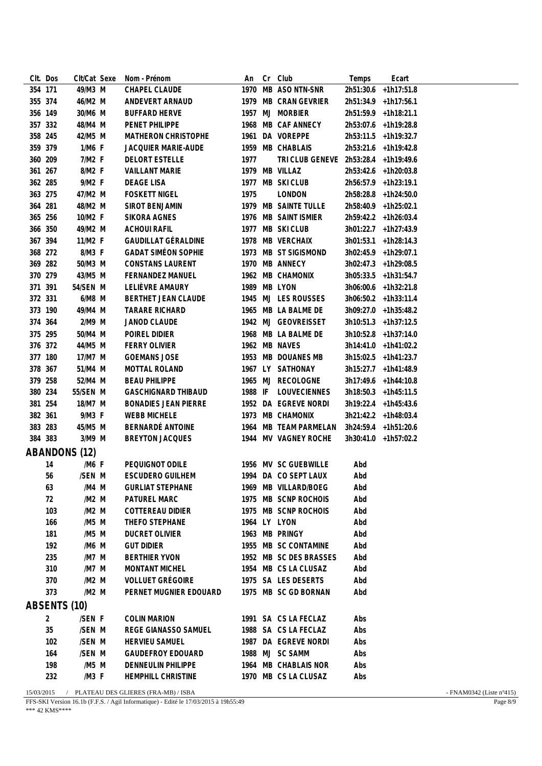|         | CIt. Dos       | Clt/Cat Sexe         | Nom - Prénom                | An      | Cr | Club                                 | Temps     | Ecart                |  |
|---------|----------------|----------------------|-----------------------------|---------|----|--------------------------------------|-----------|----------------------|--|
|         | 354 171        | 49/M3 M              | CHAPEL CLAUDE               |         |    | 1970 MB ASO NTN-SNR                  | 2h51:30.6 | $+1h17:51.8$         |  |
|         | 355 374        | 46/M2 M              | ANDEVERT ARNAUD             |         |    | 1979 MB CRAN GEVRIER                 |           | 2h51:34.9 +1h17:56.1 |  |
|         | 356 149        | 30/M6 M              | <b>BUFFARD HERVE</b>        |         |    | 1957 MJ MORBIER                      |           | 2h51:59.9 +1h18:21.1 |  |
|         | 357 332        | 48/M4 M              | PENET PHILIPPE              |         |    | 1968 MB CAF ANNECY                   |           | 2h53:07.6 +1h19:28.8 |  |
|         | 358 245        | 42/M5 M              | MATHERON CHRISTOPHE         |         |    | 1961 DA VOREPPE                      |           | 2h53:11.5 +1h19:32.7 |  |
|         | 359 379        | 1/M6 F               | <b>JACQUIER MARIE-AUDE</b>  |         |    | 1959 MB CHABLAIS                     |           | 2h53:21.6 +1h19:42.8 |  |
|         | 360 209        | 7/M2 F               | <b>DELORT ESTELLE</b>       | 1977    |    | TRI CLUB GENEVE 2h53:28.4 +1h19:49.6 |           |                      |  |
|         | 361 267        | 8/M2 F               | <b>VAILLANT MARIE</b>       |         |    | 1979 MB VILLAZ                       |           | 2h53:42.6 +1h20:03.8 |  |
|         | 362 285        | 9/M2 F               | DEAGE LISA                  |         |    | 1977 MB SKI CLUB                     |           | 2h56:57.9 +1h23:19.1 |  |
|         | 363 275        | 47/M2 M              | <b>FOSKETT NIGEL</b>        | 1975    |    | LONDON                               |           | 2h58:28.8 +1h24:50.0 |  |
| 364 281 |                | 48/M2 M              | SIROT BENJAMIN              |         |    | 1979 MB SAINTE TULLE                 |           | 2h58:40.9 +1h25:02.1 |  |
|         | 365 256        | 10/M2 F              | SIKORA AGNES                |         |    | 1976 MB SAINT ISMIER                 |           | 2h59:42.2 +1h26:03.4 |  |
|         | 366 350        | 49/M2 M              | <b>ACHOUI RAFIL</b>         |         |    | 1977 MB SKI CLUB                     |           | 3h01:22.7 +1h27:43.9 |  |
|         | 367 394        | 11/M2 F              | <b>GAUDILLAT GÉRALDINE</b>  |         |    | 1978 MB VERCHAIX                     |           | 3h01:53.1 +1h28:14.3 |  |
|         | 368 272        | 8/M3 F               | <b>GADAT SIMÉON SOPHIE</b>  |         |    | 1973 MB ST SIGISMOND                 |           | 3h02:45.9 +1h29:07.1 |  |
|         | 369 282        | 50/M3 M              | <b>CONSTANS LAURENT</b>     |         |    | 1970 MB ANNECY                       |           | 3h02:47.3 +1h29:08.5 |  |
|         | 370 279        | 43/M5 M              | <b>FERNANDEZ MANUEL</b>     |         |    | 1962 MB CHAMONIX                     |           | 3h05:33.5 +1h31:54.7 |  |
| 371 391 |                | 54/SEN M             | LELIÈVRE AMAURY             |         |    | 1989 MB LYON                         |           | 3h06:00.6 +1h32:21.8 |  |
|         | 372 331        | 6/M8 M               | BERTHET JEAN CLAUDE         |         |    | 1945 MJ LES ROUSSES                  |           | 3h06:50.2 +1h33:11.4 |  |
|         | 373 190        | 49/M4 M              | <b>TARARE RICHARD</b>       |         |    | 1965 MB LA BALME DE                  |           | 3h09:27.0 +1h35:48.2 |  |
|         | 374 364        | 2/M9 M               | JANOD CLAUDE                |         |    | 1942 MJ GEOVREISSET                  |           | 3h10:51.3 +1h37:12.5 |  |
|         | 375 295        | 50/M4 M              | POIREL DIDIER               |         |    | 1968 MB LA BALME DE                  |           | 3h10:52.8 +1h37:14.0 |  |
|         | 376 372        | 44/M5 M              | <b>FERRY OLIVIER</b>        |         |    | 1962 MB NAVES                        |           | 3h14:41.0 +1h41:02.2 |  |
|         | 377 180        | 17/M7 M              | <b>GOEMANS JOSE</b>         |         |    | 1953 MB DOUANES MB                   |           | 3h15:02.5 +1h41:23.7 |  |
|         | 378 367        | 51/M4 M              | MOTTAL ROLAND               |         |    | 1967 LY SATHONAY                     |           | 3h15:27.7 +1h41:48.9 |  |
|         | 379 258        | 52/M4 M              | <b>BEAU PHILIPPE</b>        |         |    | 1965 MJ RECOLOGNE                    |           | 3h17:49.6 +1h44:10.8 |  |
|         | 380 234        | 55/SEN M             | <b>GASCHIGNARD THIBAUD</b>  | 1988 IF |    | <b>LOUVECIENNES</b>                  |           | 3h18:50.3 +1h45:11.5 |  |
|         | 381 254        | 18/M7 M              | <b>BONADIES JEAN PIERRE</b> |         |    | 1952 DA EGREVE NORDI                 |           | 3h19:22.4 +1h45:43.6 |  |
| 382 361 |                | 9/M3 F               | <b>WEBB MICHELE</b>         |         |    | 1973 MB CHAMONIX                     |           | 3h21:42.2 +1h48:03.4 |  |
|         | 383 283        | 45/M5 M              | BERNARDÉ ANTOINE            |         |    | 1964 MB TEAM PARMELAN                |           | 3h24:59.4 +1h51:20.6 |  |
|         | 384 383        | 3/M9 M               | <b>BREYTON JACQUES</b>      |         |    | 1944 MV VAGNEY ROCHE                 |           | 3h30:41.0 +1h57:02.2 |  |
|         |                | <b>ABANDONS (12)</b> |                             |         |    |                                      |           |                      |  |
|         | 14             | /M6 F                | PEQUIGNOT ODILE             |         |    | 1956 MV SC GUEBWILLE                 | Abd       |                      |  |
|         | 56             | /SEN M               | <b>ESCUDERO GUILHEM</b>     |         |    | 1994 DA CO SEPT LAUX                 | Abd       |                      |  |
|         | 63             | /M4 M                | <b>GURLIAT STEPHANE</b>     |         |    | 1969 MB VILLARD/BOEG                 | Abd       |                      |  |
|         | 72             | /M2 M                | PATUREL MARC                |         |    | 1975 MB SCNP ROCHOIS                 | Abd       |                      |  |
|         | 103            | /M2 M                | <b>COTTEREAU DIDIER</b>     |         |    | 1975 MB SCNP ROCHOIS                 | Abd       |                      |  |
|         | 166            | /M5 M                | THEFO STEPHANE              |         |    | 1964 LY LYON                         | Abd       |                      |  |
|         | 181            | /M5 M                | DUCRET OLIVIER              |         |    | 1963 MB PRINGY                       | Abd       |                      |  |
|         | 192            | /M6 M                | <b>GUT DIDIER</b>           |         |    | 1955 MB SC CONTAMINE                 | Abd       |                      |  |
|         | 235            | /M7 M                | <b>BERTHIER YVON</b>        |         |    | 1952 MB SC DES BRASSES               | Abd       |                      |  |
|         | 310            | /M7 M                | MONTANT MICHEL              |         |    | 1954 MB CS LA CLUSAZ                 | Abd       |                      |  |
|         | 370            | /M2 M                | <b>VOLLUET GRÉGOIRE</b>     |         |    | 1975 SA LES DESERTS                  | Abd       |                      |  |
|         | 373            | /M2 M                | PERNET MUGNIER EDOUARD      |         |    | 1975 MB SC GD BORNAN                 | Abd       |                      |  |
|         |                | ABSENTS (10)         |                             |         |    |                                      |           |                      |  |
|         |                |                      |                             |         |    |                                      |           |                      |  |
|         | $\overline{2}$ | /SEN F               | <b>COLIN MARION</b>         |         |    | 1991 SA CS LA FECLAZ                 | Abs       |                      |  |
|         | 35             | /SEN M               | REGE GIANASSO SAMUEL        |         |    | 1988 SA CS LA FECLAZ                 | Abs       |                      |  |
|         | 102            | /SEN M               | <b>HERVIEU SAMUEL</b>       |         |    | 1987 DA EGREVE NORDI                 | Abs       |                      |  |
|         | 164            | /SEN M               | <b>GAUDEFROY EDOUARD</b>    |         |    | 1988 MJ SC SAMM                      | Abs       |                      |  |
|         | 198            | /M5 M                | <b>DENNEULIN PHILIPPE</b>   |         |    | 1964 MB CHABLAIS NOR                 | Abs       |                      |  |
|         | 232            | /M3 F                | HEMPHILL CHRISTINE          |         |    | 1970 MB CS LA CLUSAZ                 | Abs       |                      |  |

15/03/2015 / PLATEAU DES GLIERES (FRA-MB) / ISBA - FNAM0342 (Liste n°415)

FFS-SKI Version 16.1b (F.F.S. / Agil Informatique) - Edité le 17/03/2015 à 19h55:49 \*\*\* 42 KMS\*\*\*\*